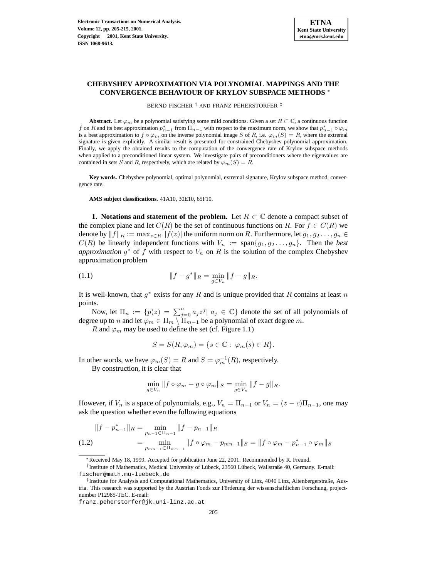# **CHEBYSHEV APPROXIMATION VIA POLYNOMIAL MAPPINGS AND THE CONVERGENCE BEHAVIOUR OF KRYLOV SUBSPACE METHODS** <sup>∗</sup>

BERND FISCHER † AND FRANZ PEHERSTORFER ‡

**Abstract.** Let  $\varphi_m$  be a polynomial satisfying some mild conditions. Given a set  $R \subset \mathbb{C}$ , a continuous function f on R and its best approximation  $p_{n-1}^*$  from  $\Pi_{n-1}$  with respect to the maximum norm, we show that  $p_{n-1}^* \circ \varphi_m$ is a best approximation to  $f \circ \varphi_m$  on the inverse polynomial image S of R, i.e.  $\varphi_m(S) = R$ , where the extremal signature is given explicitly. A similar result is presented for constrained Chebyshev polynomial approximation. Finally, we apply the obtained results to the computation of the convergence rate of Krylov subspace methods when applied to a preconditioned linear system. We investigate pairs of preconditioners where the eigenvalues are contained in sets S and R, respectively, which are related by  $\varphi_m(S) = R$ .

**Key words.** Chebyshev polynomial, optimal polynomial, extremal signature, Krylov subspace method, convergence rate.

**AMS subject classifications.** 41A10, 30E10, 65F10.

**1. Notations** and **statement** of the problem. Let  $R \subset \mathbb{C}$  denote a compact subset of the complex plane and let  $C(R)$  be the set of continuous functions on R. For  $f \in C(R)$  we denote by  $||f||_R := \max_{z \in R} |f(z)|$  the uniform norm on R. Furthermore, let  $g_1, g_2 \ldots, g_n \in$  $C(R)$  be linearly independent functions with  $V_n := \text{span}\{g_1, g_2 \ldots, g_n\}$ . Then the *best approximation*  $g^*$  of  $f$  with respect to  $V_n$  on  $R$  is the solution of the complex Chebyshev approximation problem

<span id="page-0-0"></span>(1.1) 
$$
||f - g^*||_R = \min_{g \in V_n} ||f - g||_R.
$$

It is well-known, that  $g^*$  exists for any R and is unique provided that R contains at least n points.

Now, let  $\Pi_n := \{p(z) = \sum_{j=0}^n a_j z^j | a_j \in \mathbb{C}\}\$  denote the set of all polynomials of degree up to *n* and let  $\varphi_m \in \Pi_m \setminus \Pi_{m-1}$  be a polynomial of exact degree m.

R and  $\varphi_m$  may be used to define the set (cf. Figure 1.1)

$$
S = S(R, \varphi_m) = \{ s \in \mathbb{C} : \varphi_m(s) \in R \}.
$$

In other words, we have  $\varphi_m(S) = R$  and  $S = \varphi_m^{-1}(R)$ , respectively.

By construction, it is clear that

$$
\min_{g \in V_n} \|f \circ \varphi_m - g \circ \varphi_m\|_S = \min_{g \in V_n} \|f - g\|_R.
$$

However, if  $V_n$  is a space of polynomials, e.g.,  $V_n = \prod_{n=1}$  or  $V_n = (z - c)\prod_{n=1}$ , one may ask the question whether even the following equations

$$
||f - p_{n-1}^{*}||_{R} = \min_{p_{n-1} \in \Pi_{n-1}} ||f - p_{n-1}||_{R}
$$
  
(1.2)
$$
= \min_{p_{mn-1} \in \Pi_{mn-1}} ||f \circ \varphi_m - p_{mn-1}||_{S} = ||f \circ \varphi_m - p_{n-1}^{*} \circ \varphi_m||_{S}
$$

<sup>∗</sup>Received May 18, 1999. Accepted for publication June 22, 2001. Recommended by R. Freund.

<sup>†</sup> Institute of Mathematics, Medical University of Lübeck, 23560 Lübeck, Wallstraße 40, Germany. E-mail: fischer@math.mu-luebeck.de

<sup>‡</sup> Institute for Analysis and Computational Mathematics, University of Linz, 4040 Linz, Altenbergerstraße, Austria. This research was supported by the Austrian Fonds zur Förderung der wissenschaftlichen Forschung, projectnumber P12985-TEC. E-mail:

franz.peherstorfer@jk.uni-linz.ac.at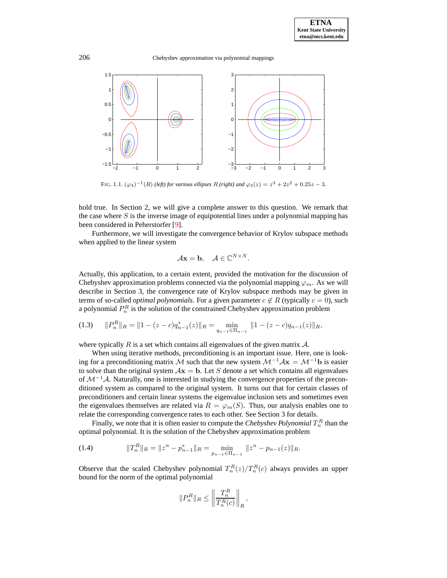206 Chebyshev approximation via polynomial mappings



FIG. 1.1.  $(\varphi_3)^{-1}(R)$  *(left) for various ellipses* R *(right) and*  $\varphi_3(z) = z^3 + 2z^2 + 0.25z - 3$ *.* 

hold true. In Section 2, we will give a complete answer to this question. We remark that the case where  $S$  is the inverse image of equipotential lines under a polynomial mapping has been considered in Peherstorfer [\[9\]](#page-10-0).

Furthermore, we will investigate the convergence behavior of Krylov subspace methods when applied to the linear system

$$
\mathcal{A}\mathbf{x} = \mathbf{b}, \quad \mathcal{A} \in \mathbb{C}^{N \times N}.
$$

Actually, this application, to a certain extent, provided the motivation for the discussion of Chebyshev approximation problems connected via the polynomial mapping  $\varphi_m$ . As we will describe in Section 3, the convergence rate of Krylov subspace methods may be given in terms of so-called *optimal polynomials*. For a given parameter  $c \notin R$  (typically  $c = 0$ ), such a polynomial  $P_n^R$  is the solution of the constrained Chebyshev approximation problem

<span id="page-1-1"></span>
$$
(1.3) \t\t\t ||P_n^R||_R = ||1 - (z - c)q_{n-1}^*(z)||_R = \min_{q_{n-1} \in \Pi_{n-1}} ||1 - (z - c)q_{n-1}(z)||_R,
$$

where typically R is a set which contains all eigenvalues of the given matrix  $\mathcal{A}$ .

When using iterative methods, preconditioning is an important issue. Here, one is looking for a preconditioning matrix M such that the new system  $\mathcal{M}^{-1}A\mathbf{x} = \mathcal{M}^{-1}\mathbf{b}$  is easier to solve than the original system  $A\mathbf{x} = \mathbf{b}$ . Let S denote a set which contains all eigenvalues of  $\mathcal{M}^{-1}\mathcal{A}$ . Naturally, one is interested in studying the convergence properties of the preconditioned system as compared to the original system. It turns out that for certain classes of preconditioners and certain linear systems the eigenvalue inclusion sets and sometimes even the eigenvalues themselves are related via  $R = \varphi_m(S)$ . Thus, our analysis enables one to relate the corresponding convergence rates to each other. See Section 3 for details.

Finally, we note that it is often easier to compute the *Chebyshev Polynomial*  $T_n^R$  than the optimal polynomial. It is the solution of the Chebyshev approximation problem

<span id="page-1-0"></span>(1.4) 
$$
||T_n^R||_R = ||z^n - p_{n-1}^*||_R = \min_{p_{n-1} \in \Pi_{n-1}} ||z^n - p_{n-1}(z)||_R.
$$

Observe that the scaled Chebyshev polynomial  $T_n^R(z)/T_n^R(c)$  always provides an upper bound for the norm of the optimal polynomial

$$
||P_n^R||_R \le \left\|\frac{T_n^R}{T_n^R(c)}\right\|_R,
$$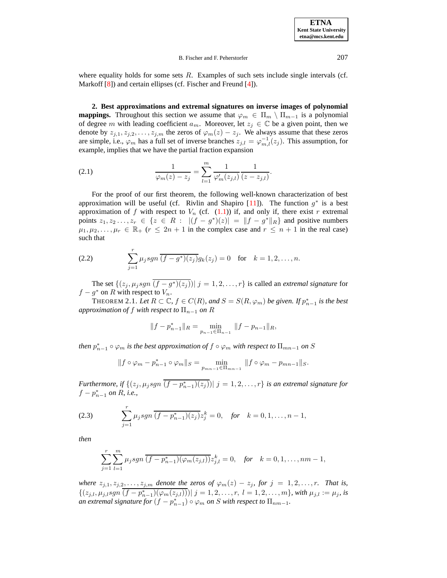where equality holds for some sets  $R$ . Examples of such sets include single intervals (cf. Markoff [\[8\]](#page-10-1)) and certain ellipses (cf. Fischer and Freund [\[4\]](#page-10-2)).

**2. Best approximations and extremal signatures on inverse images of polynomial mappings.** Throughout this section we assume that  $\varphi_m \in \Pi_m \setminus \Pi_{m-1}$  is a polynomial of degree m with leading coefficient  $a_m$ . Moreover, let  $z_j \in \mathbb{C}$  be a given point, then we denote by  $z_{j,1}, z_{j,2}, \ldots, z_{j,m}$  the zeros of  $\varphi_m(z) - z_j$ . We always assume that these zeros are simple, i.e.,  $\varphi_m$  has a full set of inverse branches  $z_{j,l} = \varphi_{m,l}^{-1}(z_j)$ . This assumption, for example, implies that we have the partial fraction expansion

<span id="page-2-0"></span>(2.1) 
$$
\frac{1}{\varphi_m(z) - z_j} = \sum_{l=1}^m \frac{1}{\varphi'_m(z_{j,l})} \frac{1}{(z - z_{j,l})}.
$$

For the proof of our first theorem, the following well-known characterization of best approximation will be useful (cf. Rivlin and Shapiro [\[11\]](#page-10-3)). The function  $g^*$  is a best approximation of f with respect to  $V_n$  (cf. [\(1.1\)](#page-0-0)) if, and only if, there exist r extremal points  $z_1, z_2, \ldots, z_r \in \{z \in R : |(f - g^*)(z)| = ||f - g^*||_R\}$  and positive numbers  $\mu_1, \mu_2, \ldots, \mu_r \in \mathbb{R}_+$   $(r \leq 2n+1)$  in the complex case and  $r \leq n+1$  in the real case) such that

(2.2) 
$$
\sum_{j=1}^{r} \mu_j sgn \overline{(f-g^*)(z_j)} g_k(z_j) = 0 \text{ for } k = 1, 2, ..., n.
$$

The set  $\{(z_j, \mu_j sgn \ (f - g^*)(z_j)) | j = 1, 2, \ldots, r\}$  is called an *extremal signature* for  $f - g^*$  on R with respect to  $V_n$ .

<span id="page-2-2"></span>THEOREM 2.1. Let  $R \subset \mathbb{C}$ ,  $f \in C(R)$ , and  $S = S(R, \varphi_m)$  be given. If  $p_{n-1}^*$  is the best *approximation of* f *with respect to*  $\Pi_{n-1}$  *on* R

$$
||f - p_{n-1}^*||_R = \min_{p_{n-1} \in \Pi_{n-1}} ||f - p_{n-1}||_R,
$$

*then*  $p_{n-1}^* \circ \varphi_m$  *is the best approximation of*  $f \circ \varphi_m$  *with respect to*  $\Pi_{mn-1}$  *on*  $S$ 

$$
||f \circ \varphi_m - p_{n-1}^* \circ \varphi_m||_S = \min_{p_{mn-1} \in \Pi_{mn-1}} ||f \circ \varphi_m - p_{mn-1}||_S.
$$

*Furthermore, if*  $\{(z_j, \mu_j sgn \ (f - p_{n-1}^*)(z_j)) | j = 1, 2, \ldots, r\}$  *is an extremal signature for*  $f - p_{n-1}^*$  on R, *i.e.*,

<span id="page-2-1"></span>(2.3) 
$$
\sum_{j=1}^r \mu_j sgn \overline{(f - p_{n-1}^*)(z_j)} z_j^k = 0, \text{ for } k = 0, 1, ..., n-1,
$$

*then*

$$
\sum_{j=1}^{r} \sum_{l=1}^{m} \mu_j sgn\left(\overline{f - p_{n-1}^*})(\varphi_m(z_{j,l}))\right) z_{j,l}^k = 0, \text{ for } k = 0, 1, \dots, nm - 1,
$$

*where*  $z_{j,1}, z_{j,2}, \ldots, z_{j,m}$  *denote the zeros of*  $\varphi_m(z) - z_j$ *, for*  $j = 1, 2, \ldots, r$ *. That is,*  $\{(z_{j,l}, \mu_{j,l}sgn\,\overline{(f-p_{n-1}^*)(\varphi_m(z_{j,l})))| j = 1, 2, \ldots, r, l = 1, 2, \ldots, m\}$ , with  $\mu_{j,l} := \mu_j$ , is *an extremal signature for*  $(f - p_{n-1}^*) \circ \varphi_m$  *on S* with *respect to*  $\Pi_{nm-1}$ *.*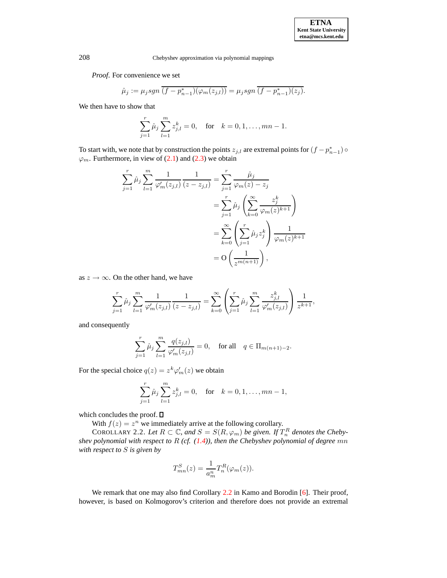208 Chebyshev approximation via polynomial mappings

*Proof*. For convenience we set

$$
\hat{\mu}_j := \mu_j sgn\,\overline{(f - p_{n-1}^*)(\varphi_m(z_{j,l}))} = \mu_j sgn\,\overline{(f - p_{n-1}^*)(z_j)}.
$$

We then have to show that

$$
\sum_{j=1}^{r} \hat{\mu}_j \sum_{l=1}^{m} z_{j,l}^k = 0, \text{ for } k = 0, 1, \dots, mn - 1.
$$

To start with, we note that by construction the points  $z_{j,l}$  are extremal points for  $(f - p_{n-1}^*) \circ$  $\varphi_m$ . Furthermore, in view of [\(2.1\)](#page-2-0) and [\(2.3\)](#page-2-1) we obtain

$$
\sum_{j=1}^{r} \hat{\mu}_{j} \sum_{l=1}^{m} \frac{1}{\varphi'_{m}(z_{j,l})} \frac{1}{(z - z_{j,l})} = \sum_{j=1}^{r} \frac{\hat{\mu}_{j}}{\varphi_{m}(z) - z_{j}}
$$
  

$$
= \sum_{j=1}^{r} \hat{\mu}_{j} \left( \sum_{k=0}^{\infty} \frac{z_{j}^{k}}{\varphi_{m}(z)^{k+1}} \right)
$$
  

$$
= \sum_{k=0}^{\infty} \left( \sum_{j=1}^{r} \hat{\mu}_{j} z_{j}^{k} \right) \frac{1}{\varphi_{m}(z)^{k+1}}
$$
  

$$
= O\left(\frac{1}{z^{m(n+1)}}\right),
$$

as  $z \rightarrow \infty$ . On the other hand, we have

$$
\sum_{j=1}^r \hat{\mu}_j \sum_{l=1}^m \frac{1}{\varphi'_m(z_{j,l})} \frac{1}{(z-z_{j,l})} = \sum_{k=0}^\infty \left( \sum_{j=1}^r \hat{\mu}_j \sum_{l=1}^m \frac{z_{j,l}^k}{\varphi'_m(z_{j,l})} \right) \frac{1}{z^{k+1}},
$$

and consequently

$$
\sum_{j=1}^{r} \hat{\mu}_j \sum_{l=1}^{m} \frac{q(z_{j,l})}{\varphi'_m(z_{j,l})} = 0, \text{ for all } q \in \Pi_{m(n+1)-2}.
$$

For the special choice  $q(z) = z^k \varphi'_m(z)$  we obtain

$$
\sum_{j=1}^{r} \hat{\mu}_j \sum_{l=1}^{m} z_{j,l}^k = 0, \text{ for } k = 0, 1, \dots, mn - 1,
$$

which concludes the proof.  $\square$ 

With  $f(z) = z^n$  we immediately arrive at the following corollary.

<span id="page-3-0"></span>COROLLARY 2.2. Let  $R \subset \mathbb{C}$ , and  $S = S(R, \varphi_m)$  be given. If  $T_n^R$  denotes the Cheby*shev polynomial with respect to* R *(cf. [\(1.4\)](#page-1-0)), then the Chebyshev polynomial of degree* mn *with respect to* S *is given by*

$$
T_{mn}^{S}(z) = \frac{1}{a_m^n} T_n^R(\varphi_m(z)).
$$

We remark that one may also find Corollary [2.2](#page-3-0) in Kamo and Borodin [\[6\]](#page-10-4). Their proof, however, is based on Kolmogorov's criterion and therefore does not provide an extremal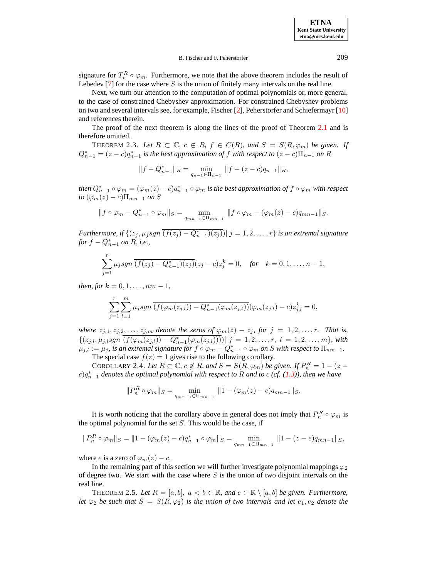**ETNA Kent State University etna@mcs.kent.edu**

#### B. Fischer and F. Peherstorfer 209

signature for  $T_n^R \circ \varphi_m$ . Furthermore, we note that the above theorem includes the result of Lebedev  $[7]$  for the case where S is the union of finitely many intervals on the real line.

Next, we turn our attention to the computation of optimal polynomials or, more general, to the case of constrained Chebyshev approximation. For constrained Chebyshev problems on two and several intervals see, for example, Fischer [\[2\]](#page-10-6), Peherstorfer and Schiefermayr [\[10\]](#page-10-7) and references therein.

The proof of the next theorem is along the lines of the proof of Theorem [2.1](#page-2-2) and is therefore omitted.

THEOREM 2.3. Let  $R \subset \mathbb{C}$ ,  $c \notin R$ ,  $f \in C(R)$ , and  $S = S(R, \varphi_m)$  be given. If  $Q_{n-1}^* = (z - c)q_{n-1}^*$  *is the best approximation of*  $f$  *with respect to*  $(z - c)\Pi_{n-1}$  *on* R

$$
||f - Q_{n-1}^*||_R = \min_{q_{n-1} \in \Pi_{n-1}} ||f - (z - c)q_{n-1}||_R,
$$

*then*  $Q_{n-1}^* \circ \varphi_m = (\varphi_m(z) - c)q_{n-1}^* \circ \varphi_m$  *is the best approximation of*  $f \circ \varphi_m$  *with respect to*  $(\varphi_m(z) - c)\Pi_{mn-1}$  *on* S

$$
||f \circ \varphi_m - Q_{n-1}^* \circ \varphi_m||_S = \min_{q_{mn-1} \in \Pi_{mn-1}} ||f \circ \varphi_m - (\varphi_m(z) - c)q_{mn-1}||_S.
$$

*Furthermore, if*  $\{(z_j, \mu_j sgn \overline{(f(z_j) - Q_{n-1}^*)(z_j)}) | j = 1, 2, \ldots, r\}$  *is an extremal signature for*  $f - Q_{n-1}^*$  *on*  $R$ *, i.e.,* 

$$
\sum_{j=1}^r \mu_j sgn \overline{(f(z_j) - Q_{n-1}^*)(z_j)}(z_j - c)z_j^k = 0, \text{ for } k = 0, 1, ..., n-1,
$$

*then, for*  $k = 0, 1, \ldots, nm - 1$ ,

$$
\sum_{j=1}^{r} \sum_{l=1}^{m} \mu_j sgn \overline{(f(\varphi_m(z_{j,l})) - Q_{n-1}^*(\varphi_m(z_{j,l}))} (\varphi_m(z_{j,l}) - c) z_{j,l}^k = 0,
$$

*where*  $z_{j,1}, z_{j,2}, \ldots, z_{j,m}$  *denote the zeros of*  $\varphi_m(z) - z_j$ *, for*  $j = 1, 2, \ldots, r$ *. That is,*  $\{(z_{j,l}, \mu_{j,l}sgn \overline{(f(\varphi_m(z_{j,l})) - Q_{n-1}^*(\varphi_m(z_{j,l}))))| j = 1, 2, \ldots, r, l = 1, 2, \ldots, m\}$ , with  $\mu_{j,l} := \mu_j$ , is an extremal signature for  $f \circ \varphi_m - Q_{n-1}^* \circ \varphi_m$  on S with respect to  $\Pi_{nm-1}$ . The special case  $f(z) = 1$  gives rise to the following corollary.

COROLLARY 2.4. Let  $R \subset \mathbb{C}$ ,  $c \notin R$ , and  $S = S(R, \varphi_m)$  be given. If  $P_n^R = 1 - (z - \varphi_m)^R$  $\int c \cdot d^*$  *denotes the optimal polynomial with respect to* R *and to c* (*cf.* [\(1.3\)](#page-1-1)), *then we have* 

$$
||P_n^R \circ \varphi_m||_S = \min_{q_{mn-1} \in \Pi_{mn-1}} ||1 - (\varphi_m(z) - c)q_{mn-1}||_S.
$$

It is worth noticing that the corollary above in general does not imply that  $P_n^R \circ \varphi_m$  is the optimal polynomial for the set  $S$ . This would be the case, if

$$
||P_n^R \circ \varphi_m||_S = ||1 - (\varphi_m(z) - c)q_{n-1}^* \circ \varphi_m||_S = \min_{q_{mn-1} \in \Pi_{mn-1}} ||1 - (z - e)q_{mn-1}||_S,
$$

where e is a zero of  $\varphi_m(z) - c$ .

In the remaining part of this section we will further investigate polynomial mappings  $\varphi_2$ of degree two. We start with the case where  $S$  is the union of two disjoint intervals on the real line.

THEOREM 2.5. Let  $R = [a, b]$ ,  $a < b \in \mathbb{R}$ , and  $c \in \mathbb{R} \setminus [a, b]$  be given. Furthermore, *let*  $\varphi_2$  *be such that*  $S = S(R, \varphi_2)$  *is the union of two intervals and let*  $e_1, e_2$  *denote the*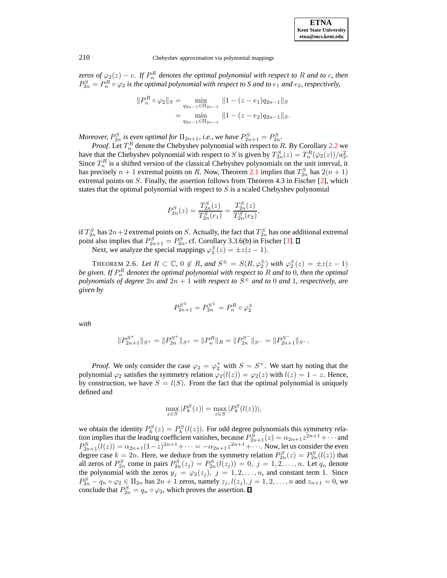| <b>ETNA</b>                  |
|------------------------------|
| <b>Kent State University</b> |
| etna@mcs.kent.edu            |

210 Chebyshev approximation via polynomial mappings

*zeros of*  $\varphi_2(z) - c$ . *If*  $P_n^R$  *denotes the optimal polynomial with respect to* R *and to c, then*  $P_{2n}^S = P_n^R \circ \varphi_2$  *is the optimal polynomial with respect to S and to*  $e_1$  *and*  $e_2$ *, respectively,* 

$$
||P_n^R \circ \varphi_2||_S = \min_{q_{2n-1} \in \Pi_{2n-1}} ||1 - (z - e_1)q_{2n-1}||_S
$$
  
= 
$$
\min_{q_{2n-1} \in \Pi_{2n-1}} ||1 - (z - e_2)q_{2n-1}||_S.
$$

*Moreover,*  $P_{2n}^S$  *is even optimal for*  $\Pi_{2n+1}$ *, i.e., we have*  $P_{2n+1}^S = P_{2n}^S$ *.* 

*Proof.* Let  $T_n^R$  denote the Chebyshev polynomial with respect to R. By Corollary [2.2](#page-3-0) we have that the Chebyshev polynomial with respect to S is given by  $T_{2n}^S(z) = T_n^R(\varphi_2(z))/a_2^2$ . Since  $T_n^R$  is a shifted version of the classical Chebyshev polynomials on the unit interval, it has precisely  $n + 1$  extremal points on R. Now, Theorem [2.1](#page-2-2) implies that  $T_{2n}^S$  has  $2(n + 1)$ extremal points on S. Finally, the assertion follows from Theorem 4.3 in Fischer [\[2\]](#page-10-6), which states that the optimal polynomial with respect to  $S$  is a scaled Chebyshev polynomial

<span id="page-5-0"></span>
$$
P_{2n}^{S}(z) = \frac{T_{2n}^{S}(z)}{T_{2n}^{S}(e_1)} = \frac{T_{2n}^{S}(z)}{T_{2n}^{S}(e_2)},
$$

if  $T_{2n}^S$  has  $2n+2$  extremal points on S. Actually, the fact that  $T_{2n}^S$  has one additional extremal point also implies that  $P_{2n+1}^S = P_{2n}^S$ , cf. Corollary 3.3.6(b) in Fischer [\[3\]](#page-10-8).

Next, we analyze the special mappings  $\varphi_2^{\pm}$  $\frac{1}{2}(z) = \pm z(z-1).$ 

THEOREM 2.6. Let  $R \subset \mathbb{C}$ ,  $0 \notin R$ , and  $S^{\pm} = S(R, \varphi_{2}^{\pm})$  $\frac{\pm}{2}$ ) with  $\varphi_2^{\pm}$  $\frac{1}{2}(z) = \pm z(z-1)$ *be given. If* P R n *denotes the optimal polynomial with respect to* R *and to* 0*, then the optimal polynomials of degree* 2n *and* 2n + 1 *with respect to* S <sup>±</sup> *and to* 0 *and* 1*, respectively, are given by*

$$
P_{2n+1}^{S^{\pm}} = P_{2n}^{S^{\pm}} = P_n^R \circ \varphi_2^{\pm}
$$

*with*

$$
||P_{2n+1}^{S^+}||_{S^+} = ||P_{2n}^{S^+}||_{S^+} = ||P_n^R||_R = ||P_{2n}^{S^-}||_{S^-} = ||P_{2n+1}^{S^-}||_{S^-}.
$$

*Proof.* We only consider the case  $\varphi_2 = \varphi_2^+$  with  $S = S^+$ . We start by noting that the polynomial  $\varphi_2$  satisfies the symmetry relation  $\varphi_2(l(z)) = \varphi_2(z)$  with  $l(z) = 1 - z$ . Hence, by construction, we have  $S = l(S)$ . From the fact that the optimal polynomial is uniquely defined and

$$
\max_{z \in S} |P_k^S(z)| = \max_{z \in S} |P_k^S(l(z))|,
$$

we obtain the identity  $P_k^S(z) = P_k^S(l(z))$ . For odd degree polynomials this symmetry relation implies that the leading coefficient vanishes, because  $P_{2n+1}^S(z) = \alpha_{2n+1} z^{2n+1} + \cdots$  and  $P_{2n+1}^{S}(l(z)) = \alpha_{2n+1}(1-z)^{2n+1} + \cdots = -\alpha_{2n+1}z^{2n+1} + \cdots$ . Now, let us consider the even degree case  $k = 2n$ . Here, we deduce from the symmetry relation  $P_{2n}^{S}(z) = P_{2n}^{S}(l(z))$  that all zeros of  $P_{2n}^S$  come in pairs  $P_{2n}^S(z_j) = P_{2n}^S(l(z_j)) = 0$ ,  $j = 1, 2, ..., n$ . Let  $q_n$  denote the polynomial with the zeros  $y_j = \varphi_2(z_j)$ ,  $j = 1, 2, ..., n$ , and constant term 1. Since  $P_{2n}^S - q_n \circ \varphi_2 \in \Pi_{2n}$  has  $2n + 1$  zeros, namely  $z_j, l(z_j), j = 1, 2, \ldots, n$  and  $z_{n+1} = 0$ , we conclude that  $P_{2n}^S = q_n \circ \varphi_2$ , which proves the assertion.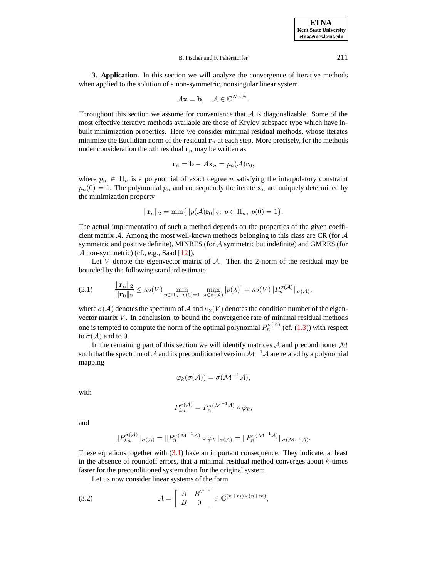**3. Application.** In this section we will analyze the convergence of iterative methods when applied to the solution of a non-symmetric, nonsingular linear system

$$
\mathcal{A}\mathbf{x} = \mathbf{b}, \quad \mathcal{A} \in \mathbb{C}^{N \times N}.
$$

Throughout this section we assume for convenience that  $A$  is diagonalizable. Some of the most effective iterative methods available are those of Krylov subspace type which have inbuilt minimization properties. Here we consider minimal residual methods, whose iterates minimize the Euclidian norm of the residual  $r_n$  at each step. More precisely, for the methods under consideration the *n*th residual  $r_n$  may be written as

$$
\mathbf{r}_n = \mathbf{b} - A\mathbf{x}_n = p_n(A)\mathbf{r}_0,
$$

where  $p_n \in \Pi_n$  is a polynomial of exact degree n satisfying the interpolatory constraint  $p_n(0) = 1$ . The polynomial  $p_n$  and consequently the iterate  $x_n$  are uniquely determined by the minimization property

$$
\|\mathbf{r}_n\|_2 = \min\{\|p(\mathcal{A})\mathbf{r}_0\|_2; \ p \in \Pi_n, \ p(0) = 1\}.
$$

The actual implementation of such a method depends on the properties of the given coefficient matrix  $\mathcal A$ . Among the most well-known methods belonging to this class are CR (for  $\mathcal A$ symmetric and positive definite), MINRES (for  $A$  symmetric but indefinite) and GMRES (for  $\mathcal A$  non-symmetric) (cf., e.g., Saad [\[12\]](#page-10-9)).

Let  $V$  denote the eigenvector matrix of  $A$ . Then the 2-norm of the residual may be bounded by the following standard estimate

<span id="page-6-0"></span>
$$
(3.1) \qquad \frac{\|\mathbf{r}_n\|_2}{\|\mathbf{r}_0\|_2} \leq \kappa_2(V) \min_{p \in \Pi_n, \ p(0)=1} \max_{\lambda \in \sigma(\mathcal{A})} |p(\lambda)| = \kappa_2(V) \|P_n^{\sigma(\mathcal{A})}\|_{\sigma(\mathcal{A})},
$$

where  $\sigma(A)$  denotes the spectrum of A and  $\kappa_2(V)$  denotes the condition number of the eigenvector matrix  $V$ . In conclusion, to bound the convergence rate of minimal residual methods one is tempted to compute the norm of the optimal polynomial  $P_n^{\sigma(\mathcal{A})}$  (cf. [\(1.3\)](#page-1-1)) with respect to  $\sigma(\mathcal{A})$  and to 0.

In the remaining part of this section we will identify matrices  $A$  and preconditioner  $M$ such that the spectrum of A and its preconditioned version  $\mathcal{M}^{-1}\mathcal{A}$  are related by a polynomial mapping

$$
\varphi_k(\sigma({\mathcal{A}}))=\sigma({\mathcal{M}}^{-1}{\mathcal{A}}),
$$

with

$$
P_{kn}^{\sigma(\mathcal{A})} = P_n^{\sigma(\mathcal{M}^{-1}\mathcal{A})} \circ \varphi_k,
$$

and

$$
||P_{kn}^{\sigma(\mathcal{A})}||_{\sigma(\mathcal{A})} = ||P_n^{\sigma(\mathcal{M}^{-1}\mathcal{A})} \circ \varphi_k||_{\sigma(\mathcal{A})} = ||P_n^{\sigma(\mathcal{M}^{-1}\mathcal{A})}||_{\sigma(\mathcal{M}^{-1}\mathcal{A})}.
$$

These equations together with [\(3.1\)](#page-6-0) have an important consequence. They indicate, at least in the absence of roundoff errors, that a minimal residual method converges about k-times faster for the preconditioned system than for the original system.

<span id="page-6-1"></span>Let us now consider linear systems of the form

(3.2) 
$$
\mathcal{A} = \begin{bmatrix} A & B^T \\ B & 0 \end{bmatrix} \in \mathbb{C}^{(n+m)\times(n+m)},
$$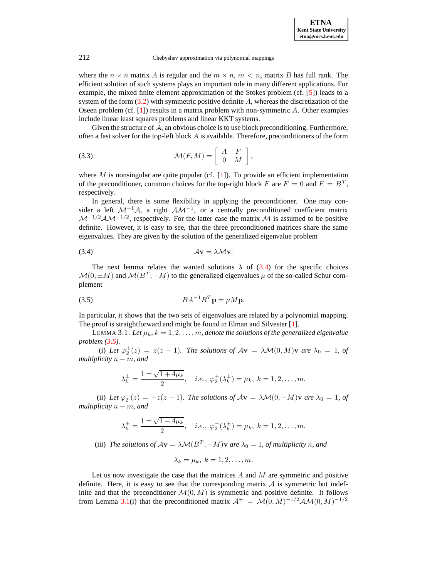## 212 Chebyshev approximation via polynomial mappings

where the  $n \times n$  matrix A is regular and the  $m \times n$ ,  $m \lt n$ , matrix B has full rank. The efficient solution of such systems plays an important role in many different applications. For example, the mixed finite element approximation of the Stokes problem (cf. [\[5\]](#page-10-10)) leads to a system of the form  $(3.2)$  with symmetric positive definite A, whereas the discretization of the Oseen problem (cf. [\[1\]](#page-10-11)) results in a matrix problem with non-symmetric A. Other examples include linear least squares problems and linear KKT systems.

Given the structure of  $A$ , an obvious choice is to use block preconditioning. Furthermore, often a fast solver for the top-left block  $A$  is available. Therefore, preconditioners of the form

(3.3) 
$$
\mathcal{M}(F, M) = \left[ \begin{array}{cc} A & F \\ 0 & M \end{array} \right],
$$

where M is nonsingular are quite popular (cf. [\[1\]](#page-10-11)). To provide an efficient implementation of the preconditioner, common choices for the top-right block F are  $F = 0$  and  $F = B<sup>T</sup>$ , respectively.

In general, there is some flexibility in applying the preconditioner. One may consider a left  $\mathcal{M}^{-1}\mathcal{A}$ , a right  $\mathcal{A}\mathcal{M}^{-1}$ , or a centrally preconditioned coefficient matrix  $\mathcal{M}^{-1/2} \mathcal{A} \mathcal{M}^{-1/2}$ , respectively. For the latter case the matrix  $\mathcal M$  is assumed to be positive definite. However, it is easy to see, that the three preconditioned matrices share the same eigenvalues. They are given by the solution of the generalized eigenvalue problem

<span id="page-7-0"></span>
$$
(3.4) \t\t \mathcal{A} \mathbf{v} = \lambda \mathcal{M} \mathbf{v}.
$$

The next lemma relates the wanted solutions  $\lambda$  of [\(3.4\)](#page-7-0) for the specific choices  $\mathcal{M}(0, \pm M)$  and  $\mathcal{M}(B^T, -M)$  to the generalized eigenvalues  $\mu$  of the so-called Schur complement

<span id="page-7-1"></span>
$$
(3.5) \tBA^{-1}B^T\mathbf{p} = \mu M \mathbf{p}.
$$

In particular, it shows that the two sets of eigenvalues are related by a polynomial mapping. The proof is straightforward and might be found in Elman and Silvester [\[1\]](#page-10-11).

<span id="page-7-2"></span>LEMMA 3.1. Let  $\mu_k$ ,  $k = 1, 2, ..., m$ , denote the solutions of the generalized eigenvalue *problem [\(3.5\)](#page-7-1).*

(i) Let  $\varphi_2^+(z) = z(z-1)$ . The solutions of  $A\mathbf{v} = \lambda \mathcal{M}(0, M)\mathbf{v}$  are  $\lambda_0 = 1$ , of *multiplicity*  $n - m$ *, and* 

$$
\lambda_k^{\pm} = \frac{1 \pm \sqrt{1 + 4\mu_k}}{2}
$$
, *i.e.*,  $\varphi_2^{\pm}(\lambda_k^{\pm}) = \mu_k$ ,  $k = 1, 2, ..., m$ .

(ii) Let  $\varphi_2^-(z) = -z(z-1)$ *. The solutions of*  $A\mathbf{v} = \lambda \mathcal{M}(0, -M)\mathbf{v}$  *are*  $\lambda_0 = 1$ *, of multiplicity*  $n - m$ *, and* 

$$
\lambda_k^{\pm} = \frac{1 \pm \sqrt{1 - 4\mu_k}}{2}
$$
, *i.e.*,  $\varphi_2^-(\lambda_k^{\pm}) = \mu_k$ ,  $k = 1, 2, ..., m$ .

(iii) *The solutions of*  $A\mathbf{v} = \lambda \mathcal{M}(B^T, -M)\mathbf{v}$  *are*  $\lambda_0 = 1$ *, of multiplicity n, and* 

$$
\lambda_k = \mu_k, \ k = 1, 2, \ldots, m.
$$

Let us now investigate the case that the matrices  $A$  and  $M$  are symmetric and positive definite. Here, it is easy to see that the corresponding matrix  $A$  is symmetric but indefinite and that the preconditioner  $\mathcal{M}(0, M)$  is symmetric and positive definite. It follows from Lemma [3.1\(](#page-7-2)i) that the preconditioned matrix  $A^+ = \mathcal{M}(0, M)^{-1/2} A \mathcal{M}(0, M)^{-1/2}$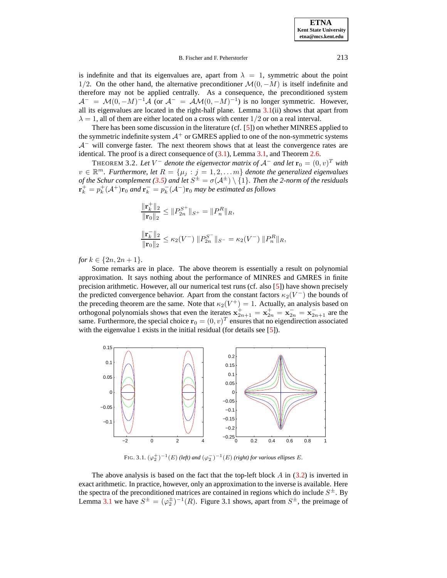is indefinite and that its eigenvalues are, apart from  $\lambda = 1$ , symmetric about the point 1/2. On the other hand, the alternative preconditioner  $\mathcal{M}(0, -M)$  is itself indefinite and therefore may not be applied centrally. As a consequence, the preconditioned system  $A^{-} = \mathcal{M}(0, -M)^{-1}A$  (or  $A^{-} = \mathcal{A}\mathcal{M}(0, -M)^{-1}$ ) is no longer symmetric. However, all its eigenvalues are located in the right-half plane. Lemma  $3.1(ii)$  $3.1(ii)$  shows that apart from  $\lambda = 1$ , all of them are either located on a cross with center  $1/2$  or on a real interval.

There has been some discussion in the literature (cf. [\[5\]](#page-10-10)) on whether MINRES applied to the symmetric indefinite system  $A^+$  or GMRES applied to one of the non-symmetric systems  $A^-$  will converge faster. The next theorem shows that at least the convergence rates are identical. The proof is a direct consequence of [\(3.1\)](#page-6-0), Lemma [3.1,](#page-7-2) and Theorem [2.6.](#page-5-0)

THEOREM 3.2. Let  $V^-$  denote the eigenvector matrix of  $\mathcal{A}^-$  and let  $\mathbf{r}_0 = (0, v)^T$  with  $v \in \mathbb{R}^m$ . *Furthermore, let*  $R = {\mu_j : j = 1, 2, \ldots m}$  *denote the generalized eigenvalues of the Schur complement* [\(3.5\)](#page-7-1) *and let*  $S^{\pm} = \sigma(A^{\pm}) \setminus \{1\}$ . *Then the 2-norm of the residuals*  $\mathbf{r}_k^+ = p_k^+ (\mathcal{A}^+) \mathbf{r}_0$  and  $\mathbf{r}_k^- = p_k^ \mathbf{F}_k^-(\mathcal{A}^-)\mathbf{r}_0$  may be estimated as follows

$$
\frac{\|\mathbf{r}_k^+\|_2}{\|\mathbf{r}_0\|_2} \le \|P_{2n}^{S^+}\|_{S^+} = \|P_n^R\|_R,
$$
  

$$
\frac{\|\mathbf{r}_k^-\|_2}{\|\mathbf{r}_0\|_2} \le \kappa_2(V^-) \|P_{2n}^{S^-}\|_{S^-} = \kappa_2(V^-) \|P_n^R\|_R,
$$

*for*  $k \in \{2n, 2n + 1\}$ *.* 

Some remarks are in place. The above theorem is essentially a result on polynomial approximation. It says nothing about the performance of MINRES and GMRES in finite precision arithmetic. However, all our numerical test runs (cf. also [\[5\]](#page-10-10)) have shown precisely the predicted convergence behavior. Apart from the constant factors  $\kappa_2(V^-)$  the bounds of the preceding theorem are the same. Note that  $\kappa_2(V^+) = 1$ . Actually, an analysis based on orthogonal polynomials shows that even the iterates  $\mathbf{x}_{2n+1}^+ = \mathbf{x}_{2n}^+ = \mathbf{x}_{2n}^- = \mathbf{x}_{2n+1}^-$  are the same. Furthermore, the special choice  $\mathbf{r}_0 = (0, v)^T$  ensures that no eigendirection associated with the eigenvalue 1 exists in the initial residual (for details see [\[5\]](#page-10-10)).



FIG. 3.1.  $(\varphi_2^+)^{-1}(E)$  (left) and  $(\varphi_2^-)^{-1}(E)$  (right) for various ellipses E.

The above analysis is based on the fact that the top-left block  $\hat{A}$  in [\(3.2\)](#page-6-1) is inverted in exact arithmetic. In practice, however, only an approximation to the inverse is available. Here the spectra of the preconditioned matrices are contained in regions which do include  $S^{\pm}$ . By Lemma [3.1](#page-7-2) we have  $S^{\pm} = (\varphi_2^{\pm})^{-1}(R)$ . Figure 3.1 shows, apart from  $S^{\pm}$ , the preimage of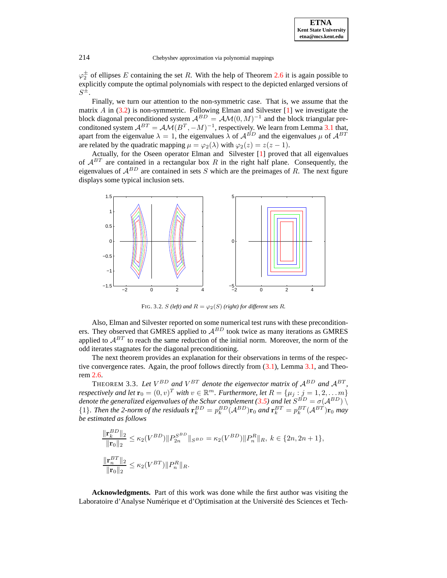**ETNA Kent State University etna@mcs.kent.edu**

214 Chebyshev approximation via polynomial mappings

 $\varphi_2^{\pm}$  of ellipses E containing the set R. With the help of Theorem [2.6](#page-5-0) it is again possible to explicitly compute the optimal polynomials with respect to the depicted enlarged versions of  $S^{\tilde{\pm}}.$ 

Finally, we turn our attention to the non-symmetric case. That is, we assume that the matrix A in  $(3.2)$  is non-symmetric. Following Elman and Silvester  $[1]$  we investigate the block diagonal preconditioned system  $A^{BD} = A \mathcal{M}(0, M)^{-1}$  and the block triangular preconditioned system  $A^{BT} = AM(B^T, -M)^{-1}$ , respectively. We learn from Lemma [3.1](#page-7-2) that, apart from the eigenvalue  $\lambda = 1$ , the eigenvalues  $\lambda$  of  $A^{BD}$  and the eigenvalues  $\mu$  of  $A^{BT}$ are related by the quadratic mapping  $\mu = \varphi_2(\lambda)$  with  $\varphi_2(z) = z(z - 1)$ .

Actually, for the Oseen operator Elman and Silvester [\[1\]](#page-10-11) proved that all eigenvalues of  $\mathcal{A}^{BT}$  are contained in a rectangular box R in the right half plane. Consequently, the eigenvalues of  $A^{BD}$  are contained in sets S which are the preimages of R. The next figure displays some typical inclusion sets.



FIG. 3.2. S *(left)* and  $R = \varphi_2(S)$  *(right)* for different sets R.

Also, Elman and Silvester reported on some numerical test runs with these preconditioners. They observed that GMRES applied to  $\mathcal{A}^{BD}$  took twice as many iterations as GMRES applied to  $A^{BT}$  to reach the same reduction of the initial norm. Moreover, the norm of the odd iterates stagnates for the diagonal preconditioning.

The next theorem provides an explanation for their observations in terms of the respective convergence rates. Again, the proof follows directly from [\(3.1\)](#page-6-0), Lemma [3.1,](#page-7-2) and Theorem [2.6.](#page-5-0)

THEOREM 3.3. Let  $V^{BD}$  and  $V^{BT}$  denote the eigenvector matrix of  $A^{BD}$  and  $A^{BT}$ , *respectively and let*  $\mathbf{r}_0 = (0, v)^T$  *with*  $v \in \mathbb{R}^m$ . *Furthermore, let*  $R = \{\mu_j : j = 1, 2, \ldots m\}$ *denote the generalized eigenvalues of the Schur complement* [\(3.5\)](#page-7-1) *and let*  $S^{BD} = \sigma(A^{BD}) \setminus \sigma(A^{BD})$  ${1}$ . *Then the 2-norm of the residuals*  $\mathbf{r}_k^{BD} = p_k^{BD} (\mathcal{A}^{BD}) \mathbf{r}_0$  *and*  $\mathbf{r}_k^{BT} = p_k^{BT} (\mathcal{A}^{BT}) \mathbf{r}_0$  *may be estimated as follows*

$$
\frac{\|\mathbf{r}_k^{BD}\|_2}{\|\mathbf{r}_0\|_2} \le \kappa_2(V^{BD})\|P_{2n}^{S^{BD}}\|_{S^{BD}} = \kappa_2(V^{BD})\|P_n^R\|_R, \ k \in \{2n, 2n+1\},\
$$
  

$$
\frac{\|\mathbf{r}_n^{BT}\|_2}{\|\mathbf{r}_0\|_2} \le \kappa_2(V^{BT})\|P_n^R\|_R.
$$

**Acknowledgments.** Part of this work was done while the first author was visiting the Laboratoire d'Analyse Numérique et d'Optimisation at the Université des Sciences et Tech-